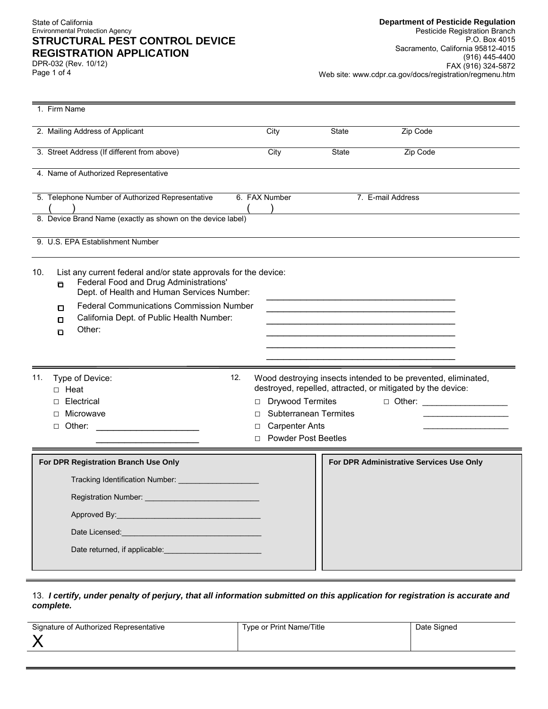#### State of California Environmental Protection Agency **STRUCTURAL PEST CONTROL DEVICE REGISTRATION APPLICATION**

Page 1 of 4 DPR-032 (Rev. 10/12)

| 1. Firm Name                                                                                                                                                        |               |                                                       |              |                                                                                                                              |
|---------------------------------------------------------------------------------------------------------------------------------------------------------------------|---------------|-------------------------------------------------------|--------------|------------------------------------------------------------------------------------------------------------------------------|
| 2. Mailing Address of Applicant                                                                                                                                     | City          |                                                       | State        | Zip Code                                                                                                                     |
| 3. Street Address (If different from above)                                                                                                                         | City          |                                                       | <b>State</b> | Zip Code                                                                                                                     |
| 4. Name of Authorized Representative                                                                                                                                |               |                                                       |              |                                                                                                                              |
| 5. Telephone Number of Authorized Representative                                                                                                                    | 6. FAX Number |                                                       |              | 7. E-mail Address                                                                                                            |
| 8. Device Brand Name (exactly as shown on the device label)                                                                                                         |               |                                                       |              |                                                                                                                              |
| 9. U.S. EPA Establishment Number                                                                                                                                    |               |                                                       |              |                                                                                                                              |
| 10.<br>List any current federal and/or state approvals for the device:<br>Federal Food and Drug Administrations'<br>o<br>Dept. of Health and Human Services Number: |               |                                                       |              |                                                                                                                              |
| <b>Federal Communications Commission Number</b><br>О<br>California Dept. of Public Health Number:<br>О                                                              |               |                                                       |              |                                                                                                                              |
| Other:<br>o                                                                                                                                                         |               |                                                       |              |                                                                                                                              |
|                                                                                                                                                                     |               |                                                       |              |                                                                                                                              |
| 12.<br>11.<br>Type of Device:<br>$\Box$ Heat                                                                                                                        |               |                                                       |              | Wood destroying insects intended to be prevented, eliminated,<br>destroyed, repelled, attracted, or mitigated by the device: |
| Electrical<br>п                                                                                                                                                     | □             | <b>Drywood Termites</b>                               |              | D Other: ____________________                                                                                                |
| Microwave<br>$\Box$ Other:                                                                                                                                          | П<br>□        | <b>Subterranean Termites</b><br><b>Carpenter Ants</b> |              |                                                                                                                              |
|                                                                                                                                                                     | $\Box$        | <b>Powder Post Beetles</b>                            |              |                                                                                                                              |
| For DPR Registration Branch Use Only                                                                                                                                |               |                                                       |              | For DPR Administrative Services Use Only                                                                                     |
| Tracking Identification Number:                                                                                                                                     |               |                                                       |              |                                                                                                                              |
| Registration Number:                                                                                                                                                |               |                                                       |              |                                                                                                                              |
| Approved By:                                                                                                                                                        |               |                                                       |              |                                                                                                                              |
| Date Licensed: Management Contract of the United States and Contract of the United States and Contract of the                                                       |               |                                                       |              |                                                                                                                              |
| Date returned, if applicable:                                                                                                                                       |               |                                                       |              |                                                                                                                              |
|                                                                                                                                                                     |               |                                                       |              |                                                                                                                              |

 13. *I certify, under penalty of perjury, that all information submitted on this application for registration is accurate and complete.* 

| Signature of Authorized Representative | Type or Print Name/Title | Date Signed |
|----------------------------------------|--------------------------|-------------|
|                                        |                          |             |
|                                        |                          |             |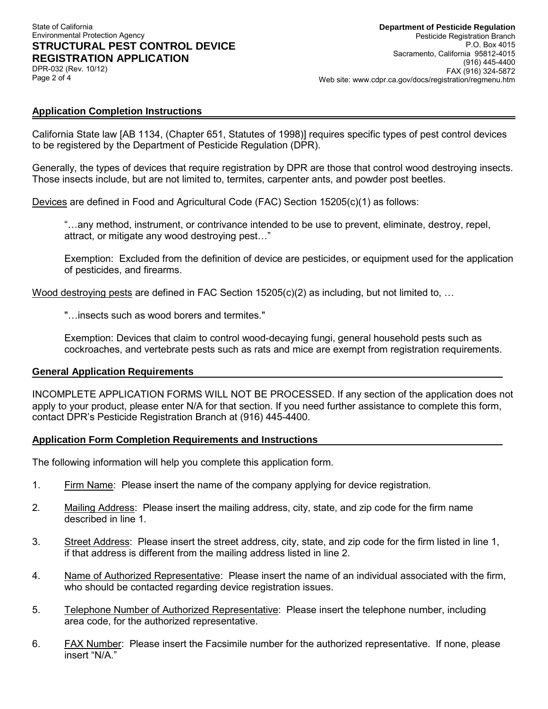#### State of California Environmental Protection Agency **STRUCTURAL PEST CONTROL DEVICE REGISTRATION APPLICATION**  DPR-032 (Rev. 10/12)

Page 2 of 4

# **Application Completion Instructions**

 California State law [AB 1134, (Chapter 651, Statutes of 1998)] requires specific types of pest control devices to be registered by the Department of Pesticide Regulation (DPR).

 Generally, the types of devices that require registration by DPR are those that control wood destroying insects. Those insects include, but are not limited to, termites, carpenter ants, and powder post beetles.

Devices are defined in Food and Agricultural Code (FAC) Section 15205(c)(1) as follows:

 "…any method, instrument, or contrivance intended to be use to prevent, eliminate, destroy, repel, attract, or mitigate any wood destroying pest…"

 Exemption: Excluded from the definition of device are pesticides, or equipment used for the application of pesticides, and firearms.

Wood destroying pests are defined in FAC Section 15205(c)(2) as including, but not limited to, …

"…insects such as wood borers and termites."

 Exemption: Devices that claim to control wood-decaying fungi, general household pests such as cockroaches, and vertebrate pests such as rats and mice are exempt from registration requirements.

### **General Application Requirements**

 INCOMPLETE APPLICATION FORMS WILL NOT BE PROCESSED. If any section of the application does not apply to your product, please enter N/A for that section. If you need further assistance to complete this form, contact DPR's Pesticide Registration Branch at (916) 445-4400.

### **Application Form Completion Requirements and Instructions**

The following information will help you complete this application form.

- 1. Firm Name: Please insert the name of the company applying for device registration.
- 2*.* Mailing Address: Please insert the mailing address, city, state, and zip code for the firm name described in line 1.
- 3. Street Address: Please insert the street address, city, state, and zip code for the firm listed in line 1, if that address is different from the mailing address listed in line 2.
- 4. Name of Authorized Representative: Please insert the name of an individual associated with the firm, who should be contacted regarding device registration issues.
- 5. Telephone Number of Authorized Representative: Please insert the telephone number, including area code, for the authorized representative.
- 6. **FAX Number:** Please insert the Facsimile number for the authorized representative. If none, please insert "N/A."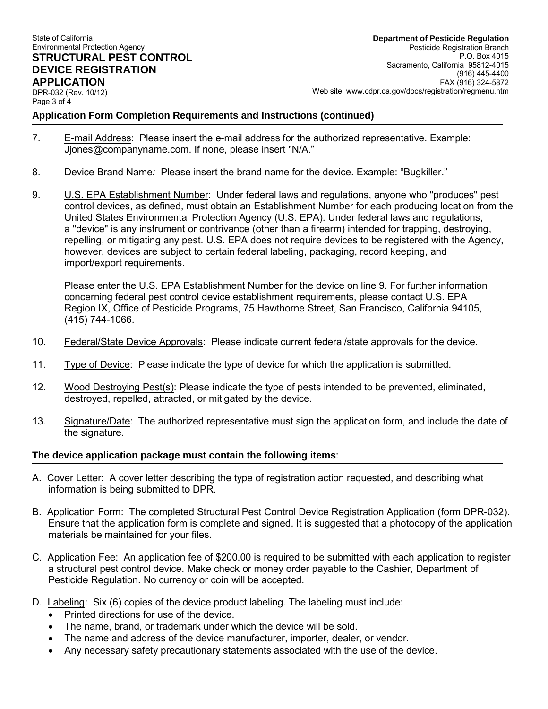# **STRUCTURAL PEST CONTROL APPLICATION**<br>DPR-032 (Rev. 10/12)

Page 3 of 4

P.O. Box 4015 Sacramento, California 95812-4015 FAX (916) 324-5872 DPR-032 (Rev. 10/12) Web site: <www.cdpr.ca.gov/docs/registration/regmenu.htm> State of California **Department of Pesticide Regulation**  Pesticide Registration Branch Sacramento, California 95812-4015 **DEVICE REGISTRATION** (916) 445-4400

**Application Form Completion Requirements and Instructions (continued)**

- 7. E-mail Address: Please insert the e-mail address for the authorized representative. Example: [Jjones@companyname.com](mailto:Jjones@companyname.com). If none, please insert "N/A."
- 8. Device Brand Name*:* Please insert the brand name for the device. Example: "Bugkiller."
- 9. L.S. EPA Establishment Number: Under federal laws and regulations, anyone who "produces" pest control devices, as defined, must obtain an Establishment Number for each producing location from the United States Environmental Protection Agency (U.S. EPA). Under federal laws and regulations, a "device" is any instrument or contrivance (other than a firearm) intended for trapping, destroying, repelling, or mitigating any pest. U.S. EPA does not require devices to be registered with the Agency, however, devices are subject to certain federal labeling, packaging, record keeping, and import/export requirements.

 Please enter the U.S. EPA Establishment Number for the device on line 9. For further information concerning federal pest control device establishment requirements, please contact U.S. EPA Region IX, Office of Pesticide Programs, 75 Hawthorne Street, San Francisco, California 94105, (415) 744-1066.

- 10. Federal/State Device Approvals: Please indicate current federal/state approvals for the device.
- 11. Type of Device: Please indicate the type of device for which the application is submitted.
- 12. Wood Destroying Pest(s): Please indicate the type of pests intended to be prevented, eliminated, destroyed, repelled, attracted, or mitigated by the device.
- 13. Signature/Date: The authorized representative must sign the application form, and include the date of the signature.

### **The device application package must contain the following items**:

- A. Cover Letter: A cover letter describing the type of registration action requested, and describing what information is being submitted to DPR.
- B. Application Form: The completed Structural Pest Control Device Registration Application (form DPR-032). Ensure that the application form is complete and signed. It is suggested that a photocopy of the application materials be maintained for your files.
- C. Application Fee: An application fee of \$200.00 is required to be submitted with each application to register a structural pest control device. Make check or money order payable to the Cashier, Department of Pesticide Regulation. No currency or coin will be accepted.
- D. Labeling: Six (6) copies of the device product labeling. The labeling must include:
	- Printed directions for use of the device.
	- The name, brand, or trademark under which the device will be sold.
	- The name and address of the device manufacturer, importer, dealer, or vendor.
	- Any necessary safety precautionary statements associated with the use of the device.